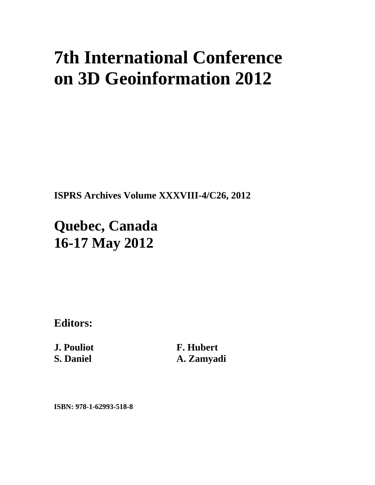## **7th International Conference on 3D Geoinformation 2012**

**ISPRS Archives Volume XXXVIII-4/C26, 2012** 

**Quebec, Canada 16-17 May 2012**

**Editors:** 

**J. Pouliot S. Daniel** 

**F. Hubert A. Zamyadi** 

**ISBN: 978-1-62993-518-8**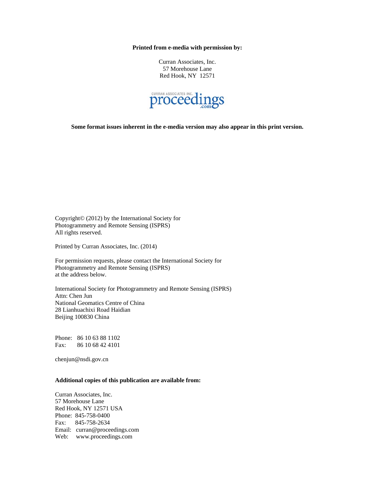**Printed from e-media with permission by:** 

Curran Associates, Inc. 57 Morehouse Lane Red Hook, NY 12571



**Some format issues inherent in the e-media version may also appear in this print version.** 

Copyright© (2012) by the International Society for Photogrammetry and Remote Sensing (ISPRS) All rights reserved.

Printed by Curran Associates, Inc. (2014)

For permission requests, please contact the International Society for Photogrammetry and Remote Sensing (ISPRS) at the address below.

International Society for Photogrammetry and Remote Sensing (ISPRS) Attn: Chen Jun National Geomatics Centre of China 28 Lianhuachixi Road Haidian Beijing 100830 China

Phone: 86 10 63 88 1102 Fax: 86 10 68 42 4101

chenjun@nsdi.gov.cn

## **Additional copies of this publication are available from:**

Curran Associates, Inc. 57 Morehouse Lane Red Hook, NY 12571 USA Phone: 845-758-0400 Fax: 845-758-2634 Email: curran@proceedings.com Web: www.proceedings.com